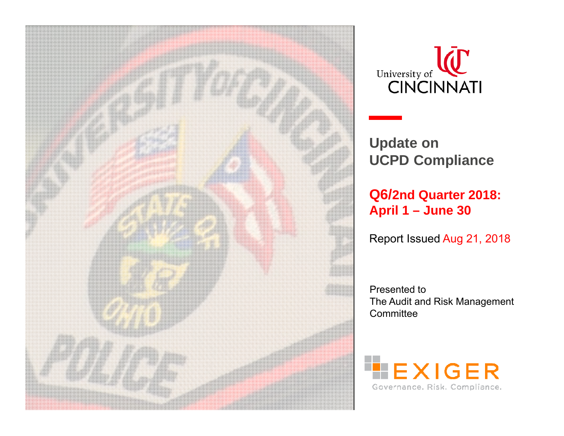



**Update on UCPD Compliance**

**Q6/2nd Quarter 2018: April 1 – June 30**

Report Issued Aug 21, 2018

Presented to The Audit and Risk Management **Committee** 

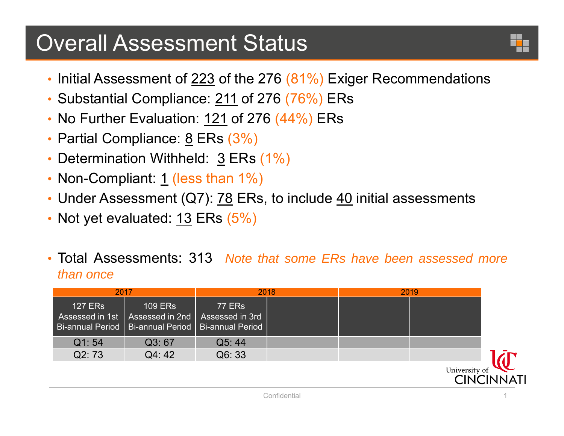## Overall Assessment Status

- $\bullet$  Initial Assessment of <u>223</u> of the 276 (81%) Exiger Recommendations
- Substantial Compliance: <u>211</u> of 276 (76%) ERs
- No Further Evaluation: <u>121</u> of 276 (44%) ERs
- Partial Compliance: <u>8</u> ERs (3%)
- •• Determination Withheld: 3 ERs (1%)
- Non-Compliant: <u>1</u> (less than 1%)
- Under Assessment (Q7):  $78$  ERs, to include  $40$  initial assessments
- Not yet evaluated:  $13$  ERs (5%)
- • Total Assessments: 313 *Note that some ERs have been assessed more than once*

| 2017           |                                                                                                                   | 2018                             | 2019 |               |  |
|----------------|-------------------------------------------------------------------------------------------------------------------|----------------------------------|------|---------------|--|
| <b>127 ERS</b> | <b>109 ERs</b><br>Assessed in 1st   Assessed in 2nd  <br>  Bi-annual Period   Bi-annual Period   Bi-annual Period | <b>77 ERs</b><br>Assessed in 3rd |      |               |  |
| Q1:54          | Q3:67                                                                                                             | Q5:44                            |      |               |  |
| Q2:73          | Q4:42                                                                                                             | Q6: 33                           |      |               |  |
|                |                                                                                                                   |                                  |      | University of |  |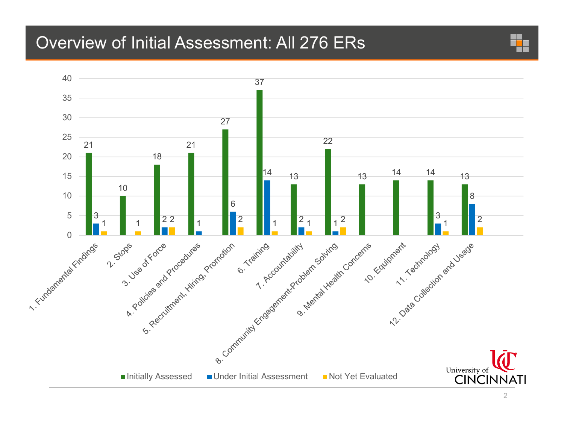### Overview of Initial Assessment: All 276 ERs

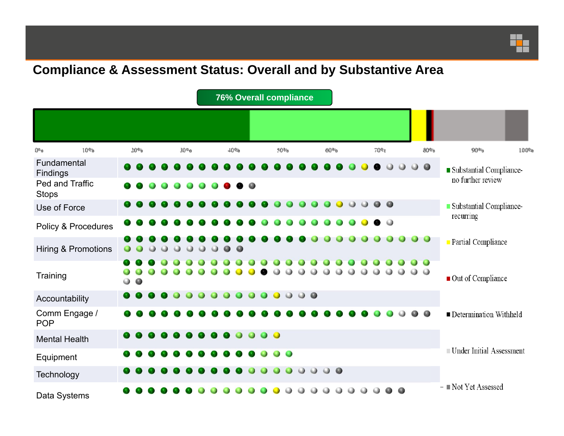#### **Compliance & Assessment Status: Overall and by Substantive Area**

|                                   |                 |           |  |                  |           |           |         | <b>76% Overall compliance</b> |           |           |           |  |                     |           |           |  |                    |                     |  |     |  |                     |           |                         |                           |  |  |
|-----------------------------------|-----------------|-----------|--|------------------|-----------|-----------|---------|-------------------------------|-----------|-----------|-----------|--|---------------------|-----------|-----------|--|--------------------|---------------------|--|-----|--|---------------------|-----------|-------------------------|---------------------------|--|--|
|                                   |                 |           |  |                  |           |           |         |                               |           |           |           |  |                     |           |           |  |                    |                     |  |     |  |                     |           |                         |                           |  |  |
| 10 <sub>0</sub><br>0 <sub>0</sub> | 20 <sub>9</sub> |           |  | 30° <sub>0</sub> |           |           | 4048    |                               |           |           | 50%       |  |                     |           |           |  | $60a$ <sup>0</sup> |                     |  | 70% |  |                     | 80%       | 90 <sub>5</sub><br>100% |                           |  |  |
| Fundamental<br>Findings           |                 |           |  |                  |           |           |         |                               |           |           |           |  |                     |           |           |  |                    |                     |  |     |  |                     |           | $\bullet$               | Substantial Compliance-   |  |  |
| Ped and Traffic<br><b>Stops</b>   |                 |           |  |                  |           |           |         |                               |           |           | $\bullet$ |  |                     |           |           |  |                    |                     |  |     |  |                     |           |                         | no further review         |  |  |
| Use of Force                      |                 |           |  |                  |           |           |         |                               |           |           |           |  |                     |           |           |  |                    |                     |  |     |  | $\bullet$ $\bullet$ |           |                         | Substantial Compliance-   |  |  |
| Policy & Procedures               |                 |           |  |                  |           |           |         |                               |           |           |           |  |                     |           |           |  |                    |                     |  |     |  | $\circ$             |           |                         | recurring                 |  |  |
| Hiring & Promotions               | $\bullet$       |           |  | 0                | $\bullet$ | $\bullet$ | $\circ$ | $\bigcirc$                    | $\bullet$ | $\bullet$ |           |  |                     |           |           |  |                    |                     |  |     |  |                     |           | $\bullet$ $\bullet$     | <b>Partial Compliance</b> |  |  |
| Training                          | $\bullet$       | $\bullet$ |  |                  |           |           |         |                               |           |           |           |  |                     |           |           |  |                    |                     |  |     |  |                     | $\cup$    | $\bullet$ $\bullet$     | Out of Compliance         |  |  |
| Accountability                    | $\bullet$       |           |  |                  |           |           |         |                               |           |           |           |  | $\Box$              | $\bullet$ | $\bullet$ |  |                    |                     |  |     |  |                     |           |                         |                           |  |  |
| Comm Engage /<br><b>POP</b>       |                 |           |  |                  |           |           |         |                               |           |           |           |  |                     |           |           |  |                    |                     |  |     |  |                     |           |                         | Determination Withheld    |  |  |
| <b>Mental Health</b>              |                 |           |  |                  |           |           |         |                               |           |           |           |  | $\bullet$ $\bullet$ |           |           |  |                    |                     |  |     |  |                     |           |                         |                           |  |  |
| Equipment                         |                 |           |  |                  |           |           |         |                               |           |           |           |  |                     | $\bullet$ |           |  |                    |                     |  |     |  |                     |           |                         | Under Initial Assessment  |  |  |
| Technology                        |                 |           |  |                  |           |           |         |                               |           |           |           |  |                     |           |           |  |                    | $\bullet$ $\bullet$ |  |     |  |                     |           |                         |                           |  |  |
| Data Systems                      |                 |           |  |                  |           |           |         |                               |           |           |           |  |                     |           |           |  |                    |                     |  |     |  |                     | $\bullet$ |                         | - Not Yet Assessed        |  |  |

<mark>ی د</mark>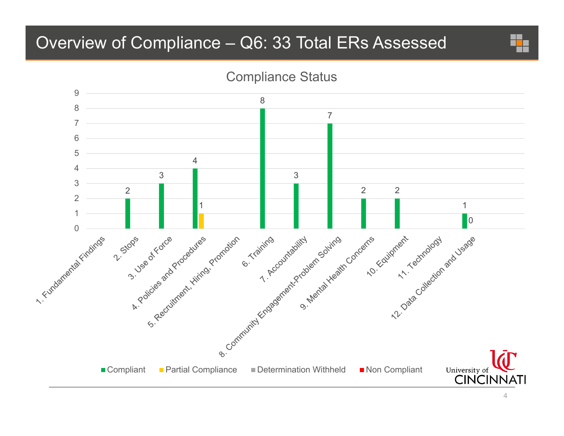### Overview of Compliance – Q6: 33 Total ERs Assessed



Compliance Status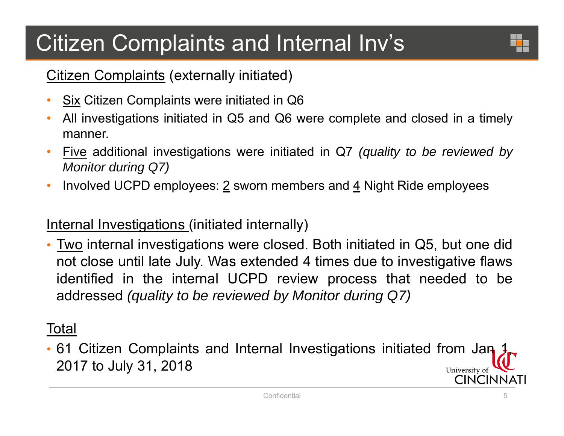# Citizen Complaints and Internal Inv's



#### Citizen Complaints (externally initiated)

- $\bullet$ Six Citizen Complaints were initiated in Q6
- • All investigations initiated in Q5 and Q6 were complete and closed in <sup>a</sup> timely manner.
- $\bullet$  Five additional investigations were initiated in Q7 *(quality to be reviewed by Monitor during Q7)*
- $\bullet$ Involved UCPD employees:  $2$  sworn members and  $4$  Night Ride employees

#### Internal Investigations (initiated internally)

• Two internal investigations were closed. Both initiated in Q5, but one did not close until late July. Was extended 4 times due to investigative flaws identified in the internal UCPD review process that needed to be addressed *(quality to be reviewed by Monitor during Q7)*

### Total

• 61 Citizen Complaints and Internal Investigations initiated from Jan 1, 2017 to July 31, 2018 University of **CINCINNATI**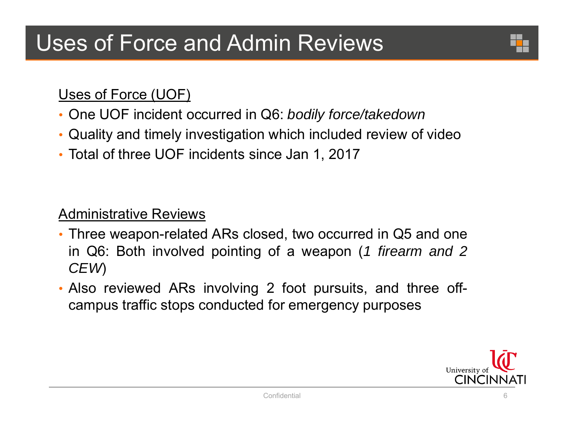

#### Uses of Force (UOF)

- One UOF incident occurred in Q6: *bodily force/takedown*
- Quality and timely investigation which included review of video
- Total of three UOF incidents since Jan 1, 2017

### Administrative Reviews

- Three weapon-related ARs closed, two occurred in Q5 and one in Q6: Both involved pointing of <sup>a</sup> weapon (*1 firearm and 2 CEW*)
- Also reviewed ARs involving 2 foot pursuits, and three offcampus traffic stops conducted for emergency purposes

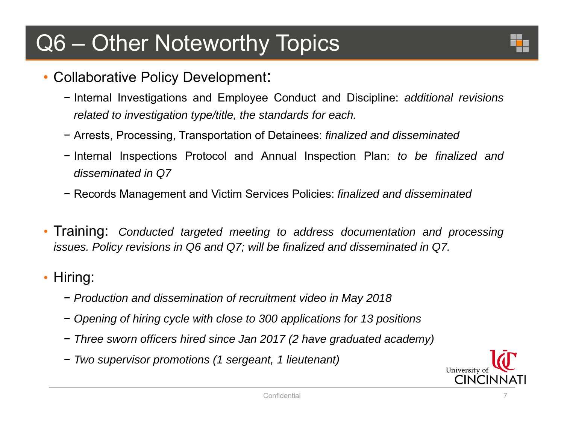# Q6 – Other Noteworthy Topics

- •• Collaborative Policy Development :
	- − Internal Investigations and Employee Conduct and Discipline: *additional revisions related to investigation type/title, the standards for each.*
	- − Arrests, Processing, Transportation of Detainees: *finalized and disseminated*
	- − Internal Inspections Protocol and Annual Inspection Plan: *to be finalized and disseminated in Q7*
	- − Records Management and Victim Services Policies: *finalized and disseminated*
- Training: *Conducted targeted meeting to address documentation and processing* issues. Policy revisions in Q6 and Q7; will be finalized and disseminated in Q7.
- Hiring:
	- − *Production and dissemination of recruitment video in May 2018*
	- Opening of hiring cycle with close to 300 applications for 13 positions
	- − *Three sworn officers hired since Jan 2017 (2 have graduated academy)*
	- − *Two supervisor promotions (1 sergeant, 1 lieutenant)*

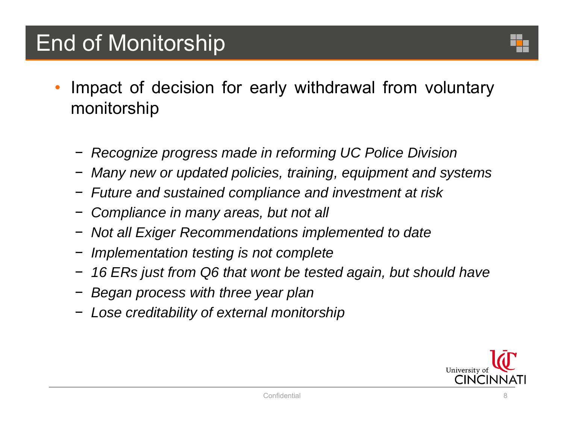# End of Monitorship

- • Impact of decision for early withdrawal from voluntary monitorship
	- − *Recognize progress made in reforming UC Police Division*
	- − *Many new or updated policies, training, equipment and systems*
	- − *Future and sustained compliance and investment at risk*
	- −*Compliance in many areas, but not all*
	- − *Not all Exiger Recommendations implemented to date*
	- − *Implementation testing is not complete*
	- 16 ERs just from Q6 that wont be tested again, but should have
	- − *Began process with three year plan*
	- − *Lose creditability of external monitorship*